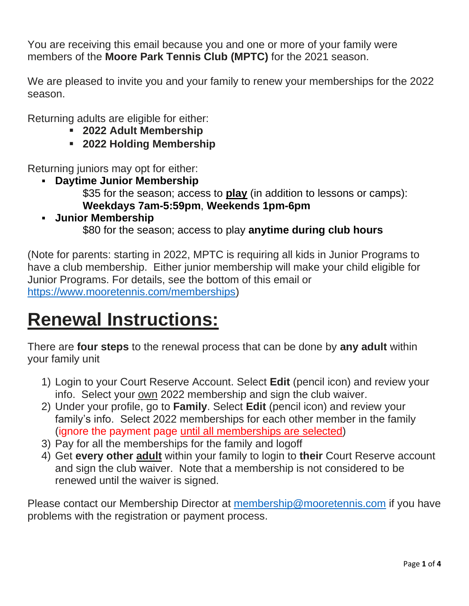You are receiving this email because you and one or more of your family were members of the **Moore Park Tennis Club (MPTC)** for the 2021 season.

We are pleased to invite you and your family to renew your memberships for the 2022 season.

Returning adults are eligible for either:

- **2022 Adult Membership**
- **2022 Holding Membership**

Returning juniors may opt for either:

- **Daytime Junior Membership** \$35 for the season; access to **play** (in addition to lessons or camps):
- **Weekdays 7am-5:59pm**, **Weekends 1pm-6pm** ▪ **Junior Membership** \$80 for the season; access to play **anytime during club hours**

(Note for parents: starting in 2022, MPTC is requiring all kids in Junior Programs to have a club membership. Either junior membership will make your child eligible for Junior Programs. For details, see the bottom of this email or [https://www.mooretennis.com/memberships\)](https://www.mooretennis.com/memberships)

# **Renewal Instructions:**

There are **four steps** to the renewal process that can be done by **any adult** within your family unit

- 1) Login to your Court Reserve Account. Select **Edit** (pencil icon) and review your info. Select your own 2022 membership and sign the club waiver.
- 2) Under your profile, go to **Family**. Select **Edit** (pencil icon) and review your family's info. Select 2022 memberships for each other member in the family (ignore the payment page until all memberships are selected)
- 3) Pay for all the memberships for the family and logoff
- 4) Get **every other adult** within your family to login to **their** Court Reserve account and sign the club waiver. Note that a membership is not considered to be renewed until the waiver is signed.

Please contact our Membership Director at [membership@mooretennis.com](mailto:membership@mooretennis.com) if you have problems with the registration or payment process.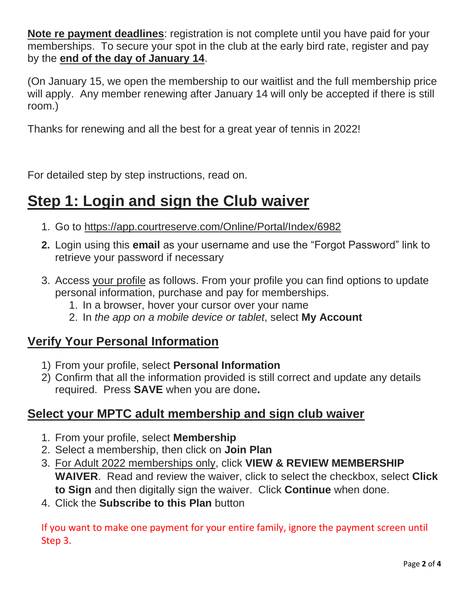**Note re payment deadlines**: registration is not complete until you have paid for your memberships. To secure your spot in the club at the early bird rate, register and pay by the **end of the day of January 14**.

(On January 15, we open the membership to our waitlist and the full membership price will apply. Any member renewing after January 14 will only be accepted if there is still room.)

Thanks for renewing and all the best for a great year of tennis in 2022!

For detailed step by step instructions, read on.

# **Step 1: Login and sign the Club waiver**

- 1. Go to<https://app.courtreserve.com/Online/Portal/Index/6982>
- **2.** Login using this **email** as your username and use the "Forgot Password" link to retrieve your password if necessary
- 3. Access your profile as follows. From your profile you can find options to update personal information, purchase and pay for memberships.
	- 1. In a browser, hover your cursor over your name
	- 2. In *the app on a mobile device or tablet*, select **My Account**

### **Verify Your Personal Information**

- 1) From your profile, select **Personal Information**
- 2) Confirm that all the information provided is still correct and update any details required. Press **SAVE** when you are done**.**

### **Select your MPTC adult membership and sign club waiver**

- 1. From your profile, select **Membership**
- 2. Select a membership, then click on **Join Plan**
- 3. For Adult 2022 memberships only, click **VIEW & REVIEW MEMBERSHIP WAIVER**. Read and review the waiver, click to select the checkbox, select **Click to Sign** and then digitally sign the waiver. Click **Continue** when done.
- 4. Click the **Subscribe to this Plan** button

If you want to make one payment for your entire family, ignore the payment screen until Step 3.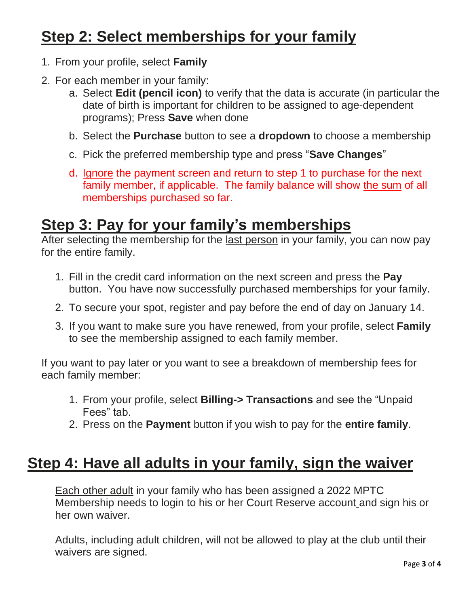# **Step 2: Select memberships for your family**

- 1. From your profile, select **Family**
- 2. For each member in your family:
	- a. Select **Edit (pencil icon)** to verify that the data is accurate (in particular the date of birth is important for children to be assigned to age-dependent programs); Press **Save** when done
	- b. Select the **Purchase** button to see a **dropdown** to choose a membership
	- c. Pick the preferred membership type and press "**Save Changes**"
	- d. Ignore the payment screen and return to step 1 to purchase for the next family member, if applicable. The family balance will show the sum of all memberships purchased so far.

### **Step 3: Pay for your family's memberships**

After selecting the membership for the last person in your family, you can now pay for the entire family.

- 1. Fill in the credit card information on the next screen and press the **Pay** button. You have now successfully purchased memberships for your family.
- 2. To secure your spot, register and pay before the end of day on January 14.
- 3. If you want to make sure you have renewed, from your profile, select **Family** to see the membership assigned to each family member.

If you want to pay later or you want to see a breakdown of membership fees for each family member:

- 1. From your profile, select **Billing-> Transactions** and see the "Unpaid Fees" tab.
- 2. Press on the **Payment** button if you wish to pay for the **entire family**.

## **Step 4: Have all adults in your family, sign the waiver**

Each other adult in your family who has been assigned a 2022 MPTC Membership needs to login to his or her Court Reserve account and sign his or her own waiver.

Adults, including adult children, will not be allowed to play at the club until their waivers are signed.